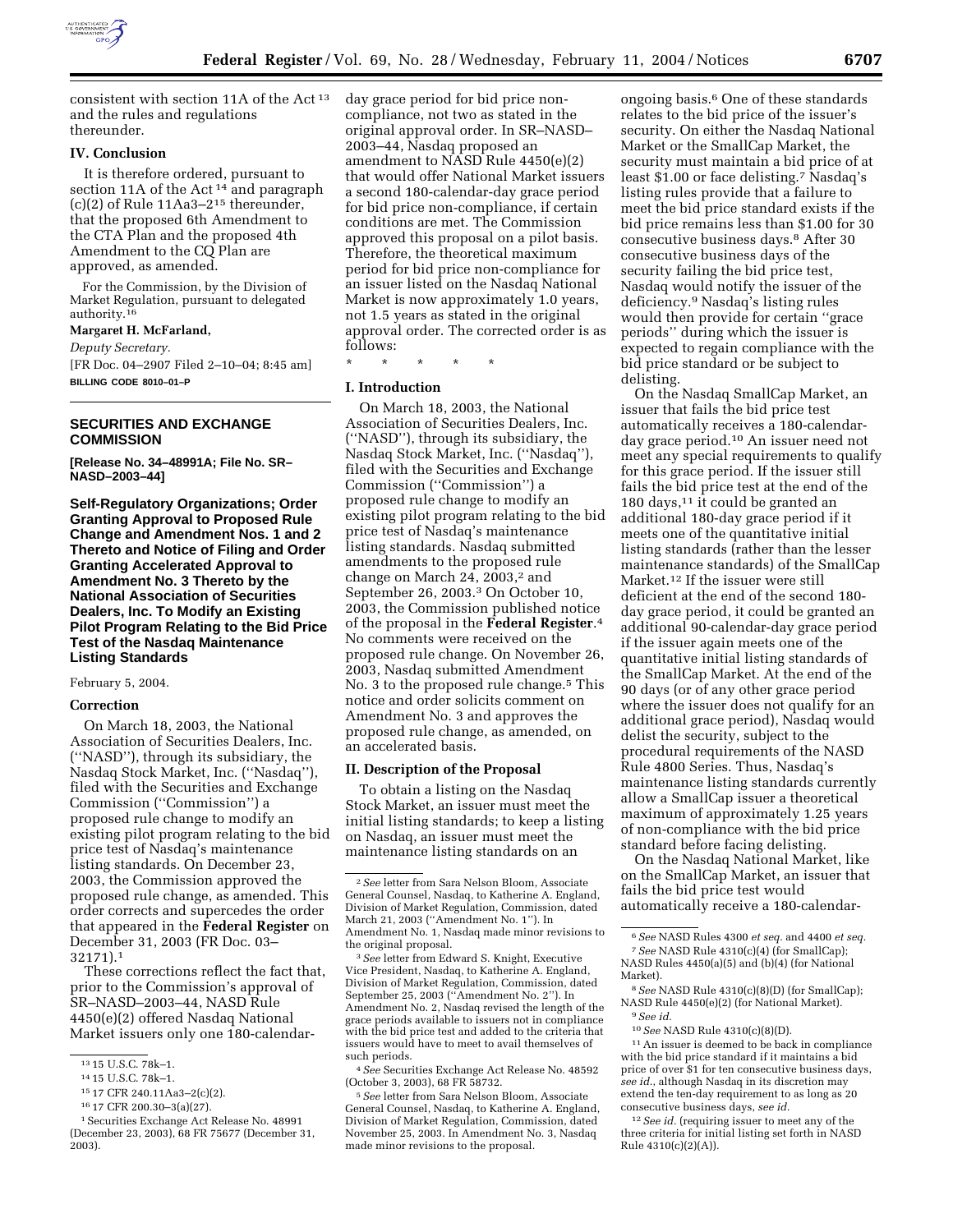

consistent with section 11A of the Act 13 and the rules and regulations thereunder.

## **IV. Conclusion**

It is therefore ordered, pursuant to section 11A of the Act<sup>14</sup> and paragraph (c)(2) of Rule 11Aa3–215 thereunder, that the proposed 6th Amendment to the CTA Plan and the proposed 4th Amendment to the CQ Plan are approved, as amended.

For the Commission, by the Division of Market Regulation, pursuant to delegated authority.16

## **Margaret H. McFarland,**

*Deputy Secretary.* [FR Doc. 04–2907 Filed 2–10–04; 8:45 am] **BILLING CODE 8010–01–P**

# **SECURITIES AND EXCHANGE COMMISSION**

**[Release No. 34–48991A; File No. SR– NASD–2003–44]** 

**Self-Regulatory Organizations; Order Granting Approval to Proposed Rule Change and Amendment Nos. 1 and 2 Thereto and Notice of Filing and Order Granting Accelerated Approval to Amendment No. 3 Thereto by the National Association of Securities Dealers, Inc. To Modify an Existing Pilot Program Relating to the Bid Price Test of the Nasdaq Maintenance Listing Standards** 

#### February 5, 2004.

### **Correction**

On March 18, 2003, the National Association of Securities Dealers, Inc. (''NASD''), through its subsidiary, the Nasdaq Stock Market, Inc. (''Nasdaq''), filed with the Securities and Exchange Commission (''Commission'') a proposed rule change to modify an existing pilot program relating to the bid price test of Nasdaq's maintenance listing standards. On December 23, 2003, the Commission approved the proposed rule change, as amended. This order corrects and supercedes the order that appeared in the **Federal Register** on December 31, 2003 (FR Doc. 03– 32171).1

These corrections reflect the fact that, prior to the Commission's approval of SR–NASD–2003–44, NASD Rule 4450(e)(2) offered Nasdaq National Market issuers only one 180-calendarday grace period for bid price noncompliance, not two as stated in the original approval order. In SR–NASD– 2003–44, Nasdaq proposed an amendment to NASD Rule 4450(e)(2) that would offer National Market issuers a second 180-calendar-day grace period for bid price non-compliance, if certain conditions are met. The Commission approved this proposal on a pilot basis. Therefore, the theoretical maximum period for bid price non-compliance for an issuer listed on the Nasdaq National Market is now approximately 1.0 years, not 1.5 years as stated in the original approval order. The corrected order is as follows:

\* \* \* \* \*

# **I. Introduction**

On March 18, 2003, the National Association of Securities Dealers, Inc. (''NASD''), through its subsidiary, the Nasdaq Stock Market, Inc. (''Nasdaq''), filed with the Securities and Exchange Commission (''Commission'') a proposed rule change to modify an existing pilot program relating to the bid price test of Nasdaq's maintenance listing standards. Nasdaq submitted amendments to the proposed rule change on March 24, 2003, $2$  and September 26, 2003.3 On October 10, 2003, the Commission published notice of the proposal in the **Federal Register**.4 No comments were received on the proposed rule change. On November 26, 2003, Nasdaq submitted Amendment No. 3 to the proposed rule change.<sup>5</sup> This notice and order solicits comment on Amendment No. 3 and approves the proposed rule change, as amended, on an accelerated basis.

#### **II. Description of the Proposal**

To obtain a listing on the Nasdaq Stock Market, an issuer must meet the initial listing standards; to keep a listing on Nasdaq, an issuer must meet the maintenance listing standards on an

3*See* letter from Edward S. Knight, Executive Vice President, Nasdaq, to Katherine A. England, Division of Market Regulation, Commission, dated September 25, 2003 (''Amendment No. 2''). In Amendment No. 2, Nasdaq revised the length of the grace periods available to issuers not in compliance with the bid price test and added to the criteria that issuers would have to meet to avail themselves of such periods.

4*See* Securities Exchange Act Release No. 48592 (October 3, 2003), 68 FR 58732.

5*See* letter from Sara Nelson Bloom, Associate General Counsel, Nasdaq, to Katherine A. England, Division of Market Regulation, Commission, dated November 25, 2003. In Amendment No. 3, Nasdaq made minor revisions to the proposal.

ongoing basis.6 One of these standards relates to the bid price of the issuer's security. On either the Nasdaq National Market or the SmallCap Market, the security must maintain a bid price of at least \$1.00 or face delisting.7 Nasdaq's listing rules provide that a failure to meet the bid price standard exists if the bid price remains less than \$1.00 for 30 consecutive business days.8 After 30 consecutive business days of the security failing the bid price test, Nasdaq would notify the issuer of the deficiency.9 Nasdaq's listing rules would then provide for certain ''grace periods'' during which the issuer is expected to regain compliance with the bid price standard or be subject to delisting.

On the Nasdaq SmallCap Market, an issuer that fails the bid price test automatically receives a 180-calendarday grace period.10 An issuer need not meet any special requirements to qualify for this grace period. If the issuer still fails the bid price test at the end of the 180 days,<sup>11</sup> it could be granted an additional 180-day grace period if it meets one of the quantitative initial listing standards (rather than the lesser maintenance standards) of the SmallCap Market.12 If the issuer were still deficient at the end of the second 180 day grace period, it could be granted an additional 90-calendar-day grace period if the issuer again meets one of the quantitative initial listing standards of the SmallCap Market. At the end of the 90 days (or of any other grace period where the issuer does not qualify for an additional grace period), Nasdaq would delist the security, subject to the procedural requirements of the NASD Rule 4800 Series. Thus, Nasdaq's maintenance listing standards currently allow a SmallCap issuer a theoretical maximum of approximately 1.25 years of non-compliance with the bid price standard before facing delisting.

On the Nasdaq National Market, like on the SmallCap Market, an issuer that fails the bid price test would automatically receive a 180-calendar-

 $^{\rm 11}\!$  An issuer is deemed to be back in compliance with the bid price standard if it maintains a bid price of over \$1 for ten consecutive business days, *see id*., although Nasdaq in its discretion may extend the ten-day requirement to as long as 20 consecutive business days, *see id.*

<sup>12</sup> See id. (requiring issuer to meet any of the three criteria for initial listing set forth in NASD Rule 4310(c)(2)(A)).

<sup>13</sup> 15 U.S.C. 78k–1.

<sup>14</sup> 15 U.S.C. 78k–1.

<sup>15</sup> 17 CFR 240.11Aa3–2(c)(2).

<sup>16</sup> 17 CFR 200.30–3(a)(27).

<sup>1</sup>Securities Exchange Act Release No. 48991 (December 23, 2003), 68 FR 75677 (December 31, 2003).

<sup>2</sup>*See* letter from Sara Nelson Bloom, Associate General Counsel, Nasdaq, to Katherine A. England, Division of Market Regulation, Commission, dated March 21, 2003 (''Amendment No. 1''). In Amendment No. 1, Nasdaq made minor revisions to the original proposal.

<sup>6</sup>*See* NASD Rules 4300 *et seq.* and 4400 *et seq.* 7*See* NASD Rule 4310(c)(4) (for SmallCap); NASD Rules 4450(a)(5) and (b)(4) (for National Market).

<sup>8</sup>*See* NASD Rule 4310(c)(8)(D) (for SmallCap); NASD Rule 4450(e)(2) (for National Market). 9*See id.*

<sup>10</sup>*See* NASD Rule 4310(c)(8)(D).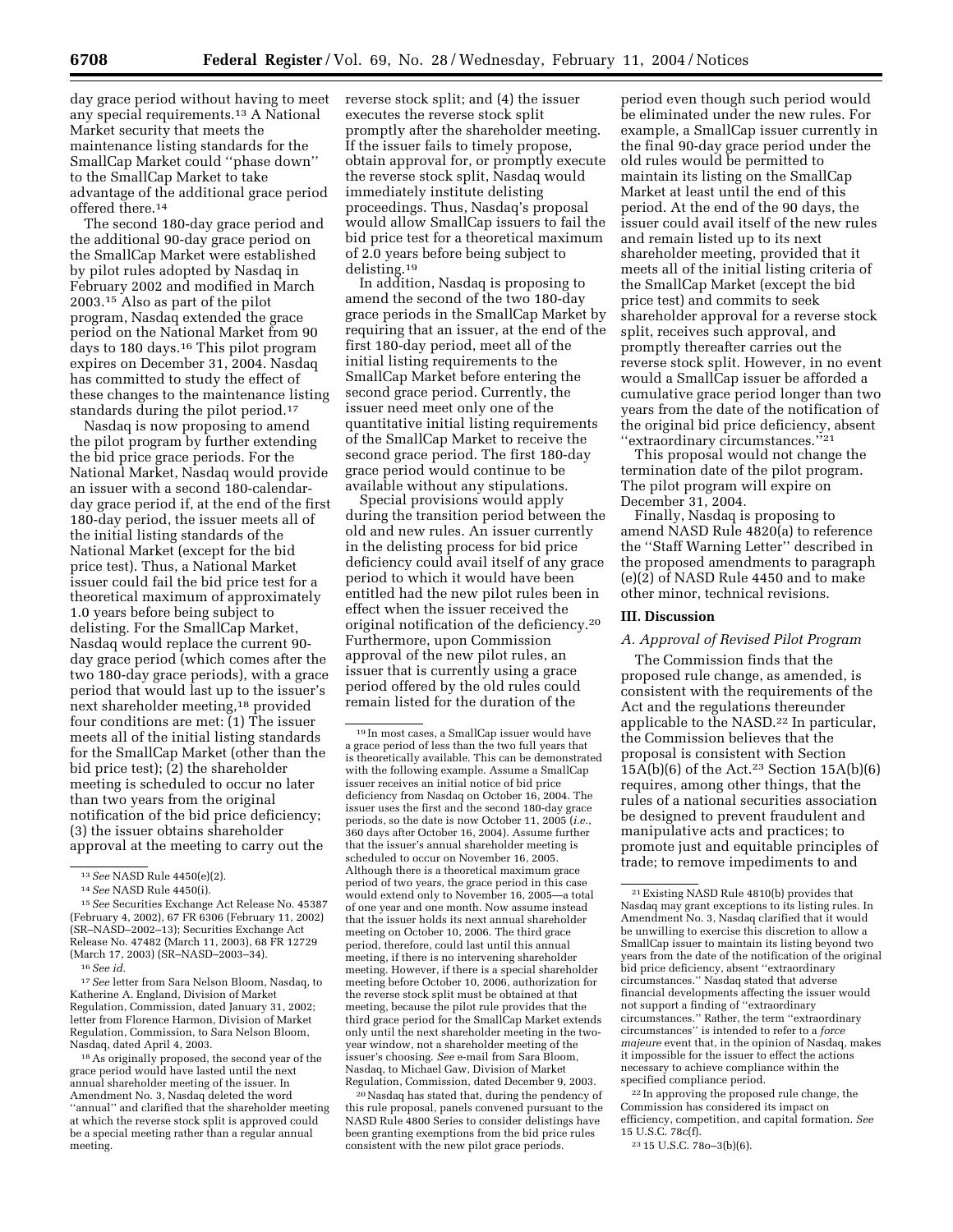day grace period without having to meet any special requirements.13 A National Market security that meets the maintenance listing standards for the SmallCap Market could ''phase down'' to the SmallCap Market to take advantage of the additional grace period offered there.14

The second 180-day grace period and the additional 90-day grace period on the SmallCap Market were established by pilot rules adopted by Nasdaq in February 2002 and modified in March 2003.15 Also as part of the pilot program, Nasdaq extended the grace period on the National Market from 90 days to 180 days.16 This pilot program expires on December 31, 2004. Nasdaq has committed to study the effect of these changes to the maintenance listing standards during the pilot period.17

Nasdaq is now proposing to amend the pilot program by further extending the bid price grace periods. For the National Market, Nasdaq would provide an issuer with a second 180-calendarday grace period if, at the end of the first 180-day period, the issuer meets all of the initial listing standards of the National Market (except for the bid price test). Thus, a National Market issuer could fail the bid price test for a theoretical maximum of approximately 1.0 years before being subject to delisting. For the SmallCap Market, Nasdaq would replace the current 90 day grace period (which comes after the two 180-day grace periods), with a grace period that would last up to the issuer's next shareholder meeting,18 provided four conditions are met: (1) The issuer meets all of the initial listing standards for the SmallCap Market (other than the bid price test); (2) the shareholder meeting is scheduled to occur no later than two years from the original notification of the bid price deficiency; (3) the issuer obtains shareholder approval at the meeting to carry out the

17*See* letter from Sara Nelson Bloom, Nasdaq, to Katherine A. England, Division of Market Regulation, Commission, dated January 31, 2002; letter from Florence Harmon, Division of Market Regulation, Commission, to Sara Nelson Bloom, Nasdaq, dated April 4, 2003.

18As originally proposed, the second year of the grace period would have lasted until the next annual shareholder meeting of the issuer. In Amendment No. 3, Nasdaq deleted the word ''annual'' and clarified that the shareholder meeting at which the reverse stock split is approved could be a special meeting rather than a regular annual meeting.

reverse stock split; and (4) the issuer executes the reverse stock split promptly after the shareholder meeting. If the issuer fails to timely propose, obtain approval for, or promptly execute the reverse stock split, Nasdaq would immediately institute delisting proceedings. Thus, Nasdaq's proposal would allow SmallCap issuers to fail the bid price test for a theoretical maximum of 2.0 years before being subject to delisting.19

In addition, Nasdaq is proposing to amend the second of the two 180-day grace periods in the SmallCap Market by requiring that an issuer, at the end of the first 180-day period, meet all of the initial listing requirements to the SmallCap Market before entering the second grace period. Currently, the issuer need meet only one of the quantitative initial listing requirements of the SmallCap Market to receive the second grace period. The first 180-day grace period would continue to be available without any stipulations.

Special provisions would apply during the transition period between the old and new rules. An issuer currently in the delisting process for bid price deficiency could avail itself of any grace period to which it would have been entitled had the new pilot rules been in effect when the issuer received the original notification of the deficiency.20 Furthermore, upon Commission approval of the new pilot rules, an issuer that is currently using a grace period offered by the old rules could remain listed for the duration of the

20Nasdaq has stated that, during the pendency of this rule proposal, panels convened pursuant to the NASD Rule 4800 Series to consider delistings have been granting exemptions from the bid price rules consistent with the new pilot grace periods.

period even though such period would be eliminated under the new rules. For example, a SmallCap issuer currently in the final 90-day grace period under the old rules would be permitted to maintain its listing on the SmallCap Market at least until the end of this period. At the end of the 90 days, the issuer could avail itself of the new rules and remain listed up to its next shareholder meeting, provided that it meets all of the initial listing criteria of the SmallCap Market (except the bid price test) and commits to seek shareholder approval for a reverse stock split, receives such approval, and promptly thereafter carries out the reverse stock split. However, in no event would a SmallCap issuer be afforded a cumulative grace period longer than two years from the date of the notification of the original bid price deficiency, absent "extraordinary circumstances."<sup>21</sup>

This proposal would not change the termination date of the pilot program. The pilot program will expire on December 31, 2004.

Finally, Nasdaq is proposing to amend NASD Rule 4820(a) to reference the ''Staff Warning Letter'' described in the proposed amendments to paragraph (e)(2) of NASD Rule 4450 and to make other minor, technical revisions.

#### **III. Discussion**

#### *A. Approval of Revised Pilot Program*

The Commission finds that the proposed rule change, as amended, is consistent with the requirements of the Act and the regulations thereunder applicable to the NASD.<sup>22</sup> In particular, the Commission believes that the proposal is consistent with Section  $15\overline{A(b)}(6)$  of the Act.<sup>23</sup> Section 15A(b)(6) requires, among other things, that the rules of a national securities association be designed to prevent fraudulent and manipulative acts and practices; to promote just and equitable principles of trade; to remove impediments to and

22 In approving the proposed rule change, the Commission has considered its impact on efficiency, competition, and capital formation. *See* 15 U.S.C. 78c(f).

23 15 U.S.C. 78o–3(b)(6).

<sup>13</sup>*See* NASD Rule 4450(e)(2).

<sup>14</sup>*See* NASD Rule 4450(i).

<sup>15</sup>*See* Securities Exchange Act Release No. 45387 (February 4, 2002), 67 FR 6306 (February 11, 2002) (SR–NASD–2002–13); Securities Exchange Act Release No. 47482 (March 11, 2003), 68 FR 12729 (March 17, 2003) (SR–NASD–2003–34).

<sup>16</sup>*See id.*

<sup>19</sup> In most cases, a SmallCap issuer would have a grace period of less than the two full years that is theoretically available. This can be demonstrated with the following example. Assume a SmallCap issuer receives an initial notice of bid price deficiency from Nasdaq on October 16, 2004. The issuer uses the first and the second 180-day grace periods, so the date is now October 11, 2005 (*i.e.*, 360 days after October 16, 2004). Assume further that the issuer's annual shareholder meeting is scheduled to occur on November 16, 2005. Although there is a theoretical maximum grace period of two years, the grace period in this case would extend only to November 16, 2005—a total of one year and one month. Now assume instead that the issuer holds its next annual shareholder meeting on October 10, 2006. The third grace period, therefore, could last until this annual meeting, if there is no intervening shareholder meeting. However, if there is a special shareholder meeting before October 10, 2006, authorization for the reverse stock split must be obtained at that meeting, because the pilot rule provides that the third grace period for the SmallCap Market extends only until the next shareholder meeting in the twoyear window, not a shareholder meeting of the issuer's choosing. *See* e-mail from Sara Bloom, Nasdaq, to Michael Gaw, Division of Market Regulation, Commission, dated December 9, 2003.

<sup>21</sup>Existing NASD Rule 4810(b) provides that Nasdaq may grant exceptions to its listing rules. In Amendment No. 3, Nasdaq clarified that it would be unwilling to exercise this discretion to allow a SmallCap issuer to maintain its listing beyond two years from the date of the notification of the original bid price deficiency, absent ''extraordinary circumstances.'' Nasdaq stated that adverse financial developments affecting the issuer would not support a finding of ''extraordinary circumstances.'' Rather, the term ''extraordinary circumstances'' is intended to refer to a *force majeure* event that, in the opinion of Nasdaq, makes it impossible for the issuer to effect the actions necessary to achieve compliance within the specified compliance period.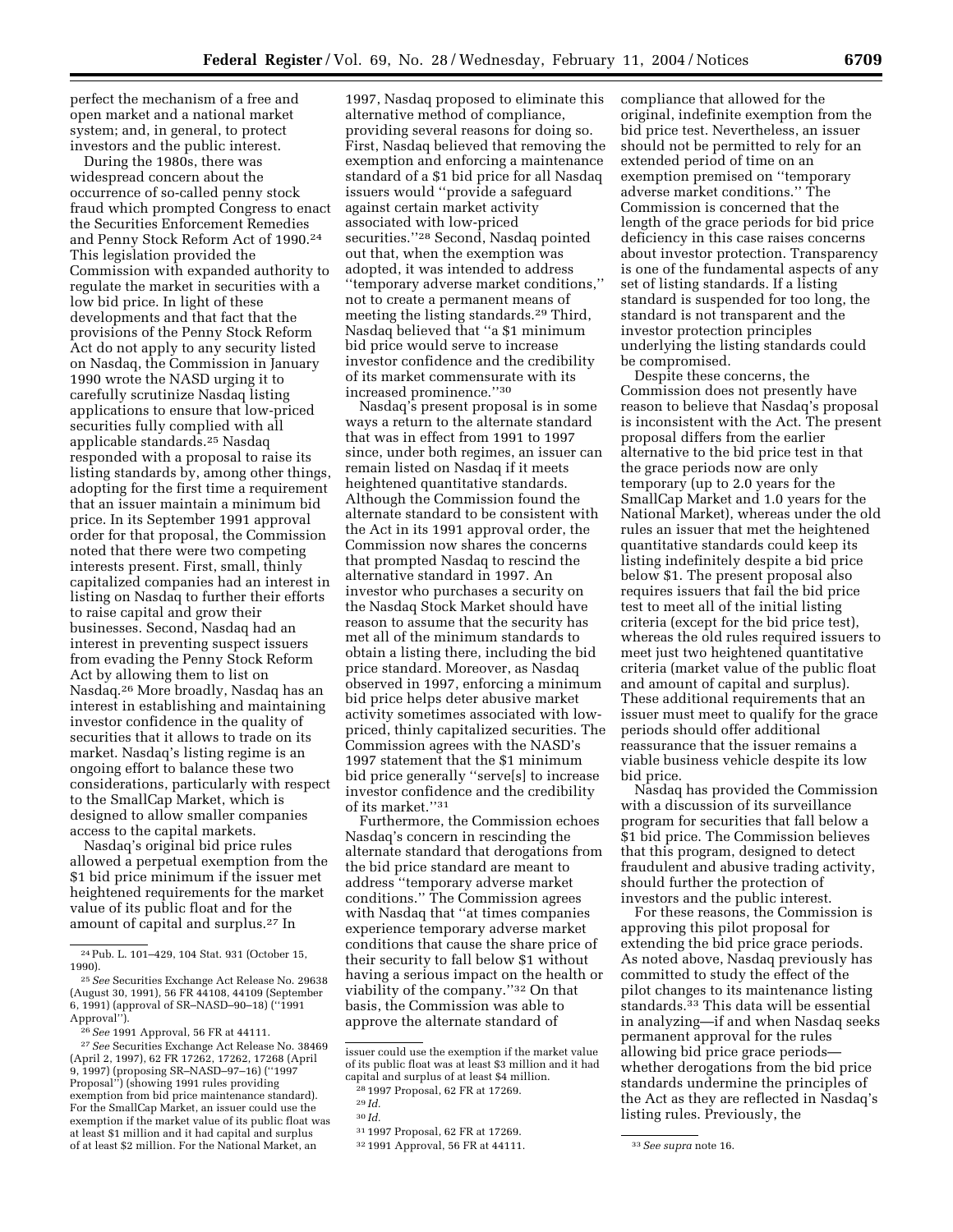perfect the mechanism of a free and open market and a national market system; and, in general, to protect investors and the public interest.

During the 1980s, there was widespread concern about the occurrence of so-called penny stock fraud which prompted Congress to enact the Securities Enforcement Remedies and Penny Stock Reform Act of 1990.24 This legislation provided the Commission with expanded authority to regulate the market in securities with a low bid price. In light of these developments and that fact that the provisions of the Penny Stock Reform Act do not apply to any security listed on Nasdaq, the Commission in January 1990 wrote the NASD urging it to carefully scrutinize Nasdaq listing applications to ensure that low-priced securities fully complied with all applicable standards.25 Nasdaq responded with a proposal to raise its listing standards by, among other things, adopting for the first time a requirement that an issuer maintain a minimum bid price. In its September 1991 approval order for that proposal, the Commission noted that there were two competing interests present. First, small, thinly capitalized companies had an interest in listing on Nasdaq to further their efforts to raise capital and grow their businesses. Second, Nasdaq had an interest in preventing suspect issuers from evading the Penny Stock Reform Act by allowing them to list on Nasdaq.26 More broadly, Nasdaq has an interest in establishing and maintaining investor confidence in the quality of securities that it allows to trade on its market. Nasdaq's listing regime is an ongoing effort to balance these two considerations, particularly with respect to the SmallCap Market, which is designed to allow smaller companies access to the capital markets.

Nasdaq's original bid price rules allowed a perpetual exemption from the \$1 bid price minimum if the issuer met heightened requirements for the market value of its public float and for the amount of capital and surplus.27 In

1997, Nasdaq proposed to eliminate this alternative method of compliance, providing several reasons for doing so. First, Nasdaq believed that removing the exemption and enforcing a maintenance standard of a \$1 bid price for all Nasdaq issuers would ''provide a safeguard against certain market activity associated with low-priced securities."<sup>28</sup> Second, Nasdaq pointed out that, when the exemption was adopted, it was intended to address ''temporary adverse market conditions,'' not to create a permanent means of meeting the listing standards.29 Third, Nasdaq believed that ''a \$1 minimum bid price would serve to increase investor confidence and the credibility of its market commensurate with its increased prominence.''30

Nasdaq's present proposal is in some ways a return to the alternate standard that was in effect from 1991 to 1997 since, under both regimes, an issuer can remain listed on Nasdaq if it meets heightened quantitative standards. Although the Commission found the alternate standard to be consistent with the Act in its 1991 approval order, the Commission now shares the concerns that prompted Nasdaq to rescind the alternative standard in 1997. An investor who purchases a security on the Nasdaq Stock Market should have reason to assume that the security has met all of the minimum standards to obtain a listing there, including the bid price standard. Moreover, as Nasdaq observed in 1997, enforcing a minimum bid price helps deter abusive market activity sometimes associated with lowpriced, thinly capitalized securities. The Commission agrees with the NASD's 1997 statement that the \$1 minimum bid price generally ''serve[s] to increase investor confidence and the credibility of its market.''31

Furthermore, the Commission echoes Nasdaq's concern in rescinding the alternate standard that derogations from the bid price standard are meant to address ''temporary adverse market conditions.'' The Commission agrees with Nasdaq that ''at times companies experience temporary adverse market conditions that cause the share price of their security to fall below \$1 without having a serious impact on the health or viability of the company.''32 On that basis, the Commission was able to approve the alternate standard of

compliance that allowed for the original, indefinite exemption from the bid price test. Nevertheless, an issuer should not be permitted to rely for an extended period of time on an exemption premised on ''temporary adverse market conditions.'' The Commission is concerned that the length of the grace periods for bid price deficiency in this case raises concerns about investor protection. Transparency is one of the fundamental aspects of any set of listing standards. If a listing standard is suspended for too long, the standard is not transparent and the investor protection principles underlying the listing standards could be compromised.

Despite these concerns, the Commission does not presently have reason to believe that Nasdaq's proposal is inconsistent with the Act. The present proposal differs from the earlier alternative to the bid price test in that the grace periods now are only temporary (up to 2.0 years for the SmallCap Market and 1.0 years for the National Market), whereas under the old rules an issuer that met the heightened quantitative standards could keep its listing indefinitely despite a bid price below \$1. The present proposal also requires issuers that fail the bid price test to meet all of the initial listing criteria (except for the bid price test), whereas the old rules required issuers to meet just two heightened quantitative criteria (market value of the public float and amount of capital and surplus). These additional requirements that an issuer must meet to qualify for the grace periods should offer additional reassurance that the issuer remains a viable business vehicle despite its low bid price.

Nasdaq has provided the Commission with a discussion of its surveillance program for securities that fall below a \$1 bid price. The Commission believes that this program, designed to detect fraudulent and abusive trading activity, should further the protection of investors and the public interest.

For these reasons, the Commission is approving this pilot proposal for extending the bid price grace periods. As noted above, Nasdaq previously has committed to study the effect of the pilot changes to its maintenance listing standards.33 This data will be essential in analyzing—if and when Nasdaq seeks permanent approval for the rules allowing bid price grace periods whether derogations from the bid price standards undermine the principles of the Act as they are reflected in Nasdaq's listing rules. Previously, the

<sup>24</sup>Pub. L. 101–429, 104 Stat. 931 (October 15, 1990).

<sup>25</sup>*See* Securities Exchange Act Release No. 29638 (August 30, 1991), 56 FR 44108, 44109 (September 6, 1991) (approval of SR–NASD–90–18) (''1991 Approval'').

<sup>26</sup>*See* 1991 Approval, 56 FR at 44111.

<sup>27</sup>*See* Securities Exchange Act Release No. 38469 (April 2, 1997), 62 FR 17262, 17262, 17268 (April 9, 1997) (proposing SR–NASD–97–16) (''1997 Proposal'') (showing 1991 rules providing exemption from bid price maintenance standard). For the SmallCap Market, an issuer could use the exemption if the market value of its public float was at least \$1 million and it had capital and surplus of at least \$2 million. For the National Market, an

issuer could use the exemption if the market value of its public float was at least \$3 million and it had capital and surplus of at least \$4 million.

<sup>28</sup> 1997 Proposal, 62 FR at 17269.

<sup>29</sup> *Id.*

<sup>30</sup> *Id.*

<sup>31</sup> 1997 Proposal, 62 FR at 17269.

<sup>32</sup> 1991 Approval, 56 FR at 44111. 33*See supra* note 16.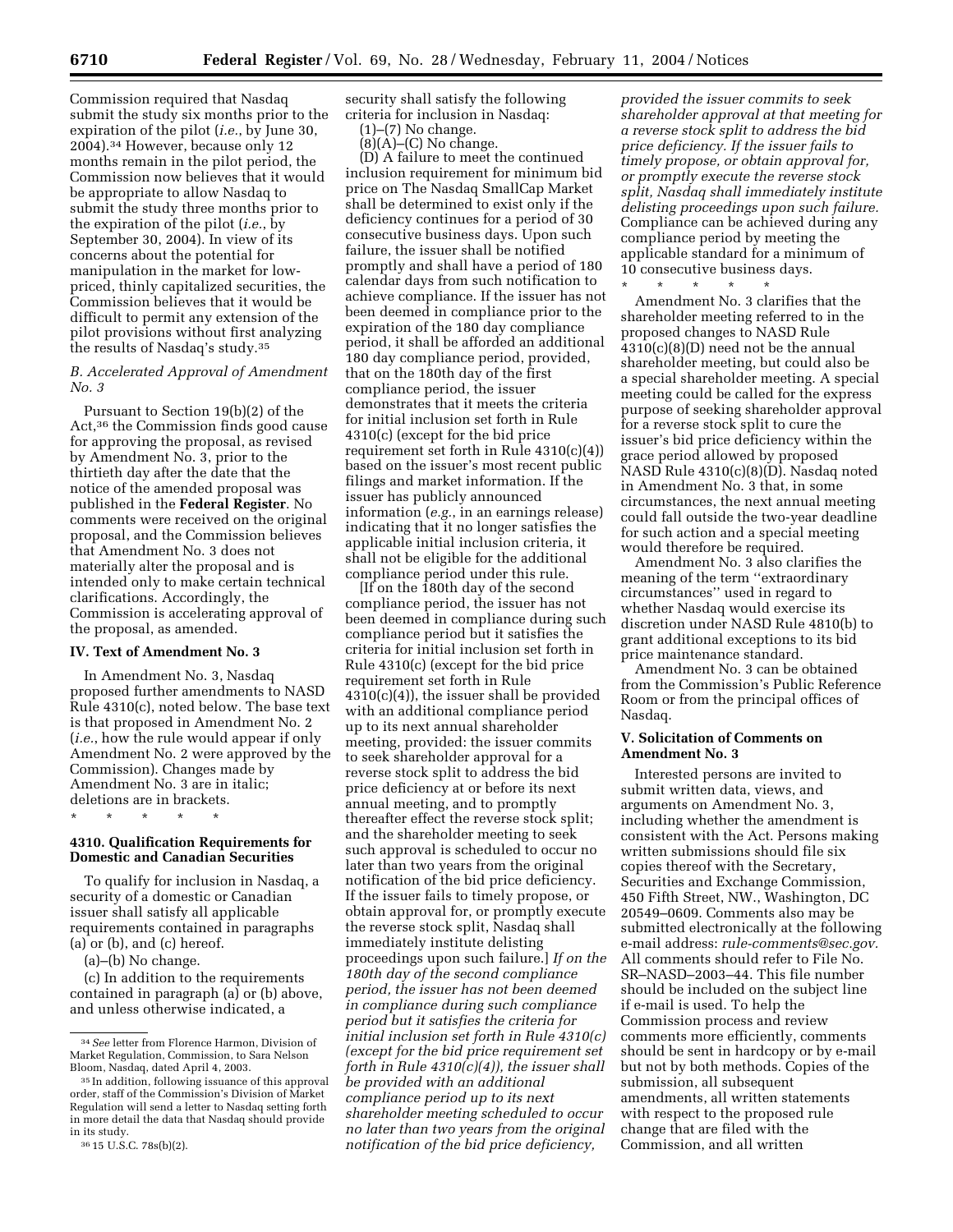Commission required that Nasdaq submit the study six months prior to the expiration of the pilot (*i.e.*, by June 30, 2004).34 However, because only 12 months remain in the pilot period, the Commission now believes that it would be appropriate to allow Nasdaq to submit the study three months prior to the expiration of the pilot (*i.e.*, by September 30, 2004). In view of its concerns about the potential for manipulation in the market for lowpriced, thinly capitalized securities, the Commission believes that it would be difficult to permit any extension of the pilot provisions without first analyzing the results of Nasdaq's study.35

### *B. Accelerated Approval of Amendment No. 3*

Pursuant to Section 19(b)(2) of the Act,36 the Commission finds good cause for approving the proposal, as revised by Amendment No. 3, prior to the thirtieth day after the date that the notice of the amended proposal was published in the **Federal Register**. No comments were received on the original proposal, and the Commission believes that Amendment No. 3 does not materially alter the proposal and is intended only to make certain technical clarifications. Accordingly, the Commission is accelerating approval of the proposal, as amended.

#### **IV. Text of Amendment No. 3**

In Amendment No. 3, Nasdaq proposed further amendments to NASD Rule 4310(c), noted below. The base text is that proposed in Amendment No. 2 (*i.e.*, how the rule would appear if only Amendment No. 2 were approved by the Commission). Changes made by Amendment No. 3 are in italic; deletions are in brackets. \* \* \* \* \*

#### **4310. Qualification Requirements for Domestic and Canadian Securities**

To qualify for inclusion in Nasdaq, a security of a domestic or Canadian issuer shall satisfy all applicable requirements contained in paragraphs (a) or (b), and (c) hereof.

(a)–(b) No change.

(c) In addition to the requirements contained in paragraph (a) or (b) above, and unless otherwise indicated, a

security shall satisfy the following criteria for inclusion in Nasdaq:

(1)–(7) No change.

 $(8)(A)$ – $(C)$  No change.

(D) A failure to meet the continued inclusion requirement for minimum bid price on The Nasdaq SmallCap Market shall be determined to exist only if the deficiency continues for a period of 30 consecutive business days. Upon such failure, the issuer shall be notified promptly and shall have a period of 180 calendar days from such notification to achieve compliance. If the issuer has not been deemed in compliance prior to the expiration of the 180 day compliance period, it shall be afforded an additional 180 day compliance period, provided, that on the 180th day of the first compliance period, the issuer demonstrates that it meets the criteria for initial inclusion set forth in Rule 4310(c) (except for the bid price requirement set forth in Rule 4310(c)(4)) based on the issuer's most recent public filings and market information. If the issuer has publicly announced information (*e.g.*, in an earnings release) indicating that it no longer satisfies the applicable initial inclusion criteria, it shall not be eligible for the additional compliance period under this rule.

[If on the 180th day of the second compliance period, the issuer has not been deemed in compliance during such compliance period but it satisfies the criteria for initial inclusion set forth in Rule 4310(c) (except for the bid price requirement set forth in Rule 4310(c)(4)), the issuer shall be provided with an additional compliance period up to its next annual shareholder meeting, provided: the issuer commits to seek shareholder approval for a reverse stock split to address the bid price deficiency at or before its next annual meeting, and to promptly thereafter effect the reverse stock split; and the shareholder meeting to seek such approval is scheduled to occur no later than two years from the original notification of the bid price deficiency. If the issuer fails to timely propose, or obtain approval for, or promptly execute the reverse stock split, Nasdaq shall immediately institute delisting proceedings upon such failure.] *If on the 180th day of the second compliance period, the issuer has not been deemed in compliance during such compliance period but it satisfies the criteria for initial inclusion set forth in Rule 4310(c) (except for the bid price requirement set forth in Rule 4310(c)(4)), the issuer shall be provided with an additional compliance period up to its next shareholder meeting scheduled to occur no later than two years from the original notification of the bid price deficiency,* 

*provided the issuer commits to seek shareholder approval at that meeting for a reverse stock split to address the bid price deficiency. If the issuer fails to timely propose, or obtain approval for, or promptly execute the reverse stock split, Nasdaq shall immediately institute delisting proceedings upon such failure.* Compliance can be achieved during any compliance period by meeting the applicable standard for a minimum of 10 consecutive business days. \* \* \* \* \*

Amendment No. 3 clarifies that the shareholder meeting referred to in the proposed changes to NASD Rule 4310(c)(8)(D) need not be the annual shareholder meeting, but could also be a special shareholder meeting. A special meeting could be called for the express purpose of seeking shareholder approval for a reverse stock split to cure the issuer's bid price deficiency within the grace period allowed by proposed NASD Rule 4310(c)(8)(D). Nasdaq noted in Amendment No. 3 that, in some circumstances, the next annual meeting could fall outside the two-year deadline for such action and a special meeting would therefore be required.

Amendment No. 3 also clarifies the meaning of the term ''extraordinary circumstances'' used in regard to whether Nasdaq would exercise its discretion under NASD Rule 4810(b) to grant additional exceptions to its bid price maintenance standard.

Amendment No. 3 can be obtained from the Commission's Public Reference Room or from the principal offices of Nasdaq.

### **V. Solicitation of Comments on Amendment No. 3**

Interested persons are invited to submit written data, views, and arguments on Amendment No. 3, including whether the amendment is consistent with the Act. Persons making written submissions should file six copies thereof with the Secretary, Securities and Exchange Commission, 450 Fifth Street, NW., Washington, DC 20549–0609. Comments also may be submitted electronically at the following e-mail address: *rule-comments@sec.gov.* All comments should refer to File No. SR–NASD–2003–44. This file number should be included on the subject line if e-mail is used. To help the Commission process and review comments more efficiently, comments should be sent in hardcopy or by e-mail but not by both methods. Copies of the submission, all subsequent amendments, all written statements with respect to the proposed rule change that are filed with the Commission, and all written

<sup>34</sup>*See* letter from Florence Harmon, Division of Market Regulation, Commission, to Sara Nelson Bloom, Nasdaq, dated April 4, 2003.

<sup>35</sup> In addition, following issuance of this approval order, staff of the Commission's Division of Market Regulation will send a letter to Nasdaq setting forth in more detail the data that Nasdaq should provide in its study.

<sup>36</sup> 15 U.S.C. 78s(b)(2).